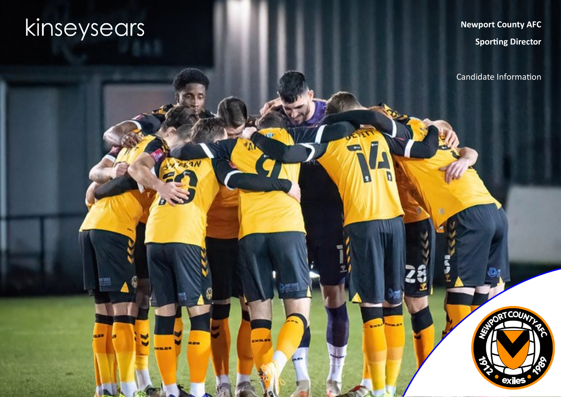# kinseysears

**GLED** 

 $19N$ 

**Carried** 

10061819

**CHIRD** 

 $\mathbf{a}$ 

**Edgbaston Stadium Newport County AFC Sporting Director**

Candidate Information

**TCOU** 

**exile**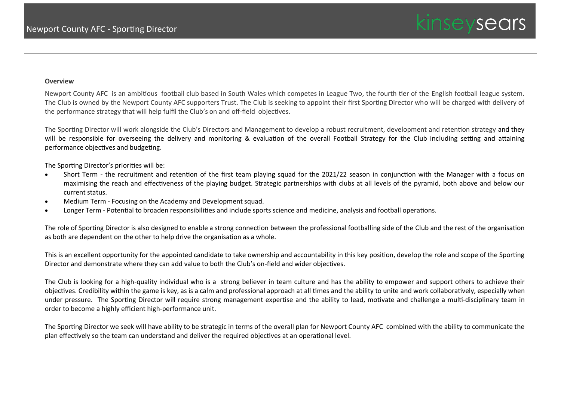#### **Overview**

Newport County AFC is an ambitious football club based in South Wales which competes in League Two, the fourth tier of the English football league system. The Club is owned by the Newport County AFC supporters Trust. The Club is seeking to appoint their first Sporting Director who will be charged with delivery of the performance strategy that will help fulfil the Club's on and off-field objectives.

The Sporting Director will work alongside the Club's Directors and Management to develop a robust recruitment, development and retention strategy and they will be responsible for overseeing the delivery and monitoring & evaluation of the overall Football Strategy for the Club including setting and attaining performance objectives and budgeting.

The Sporting Director's priorities will be:

- Short Term the recruitment and retention of the first team playing squad for the 2021/22 season in conjunction with the Manager with a focus on maximising the reach and effectiveness of the playing budget. Strategic partnerships with clubs at all levels of the pyramid, both above and below our current status.
- Medium Term Focusing on the Academy and Development squad.
- Longer Term Potential to broaden responsibilities and include sports science and medicine, analysis and football operations.

The role of Sporting Director is also designed to enable a strong connection between the professional footballing side of the Club and the rest of the organisation as both are dependent on the other to help drive the organisation as a whole.

This is an excellent opportunity for the appointed candidate to take ownership and accountability in this key position, develop the role and scope of the Sporting Director and demonstrate where they can add value to both the Club's on-field and wider objectives.

The Club is looking for a high-quality individual who is a strong believer in team culture and has the ability to empower and support others to achieve their objectives. Credibility within the game is key, as is a calm and professional approach at all times and the ability to unite and work collaboratively, especially when under pressure. The Sporting Director will require strong management expertise and the ability to lead, motivate and challenge a multi-disciplinary team in order to become a highly efficient high-performance unit.

The Sporting Director we seek will have ability to be strategic in terms of the overall plan for Newport County AFC combined with the ability to communicate the plan effectively so the team can understand and deliver the required objectives at an operational level.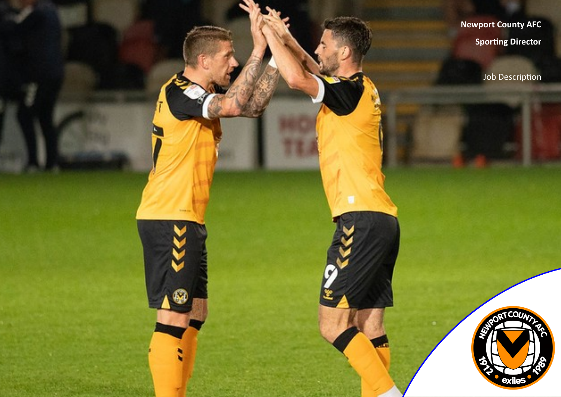**Edgbaston Stadium Newport County AFC Sporting Director**

Job Description

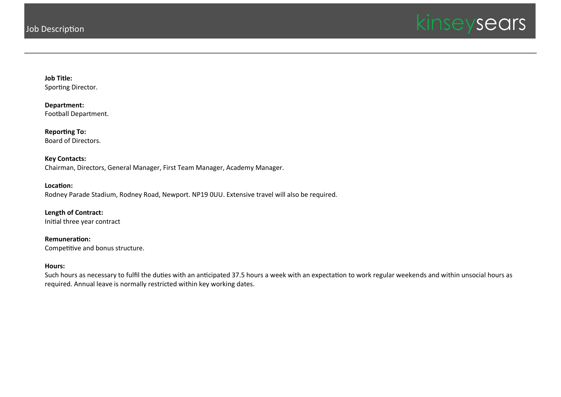

**Job Title:** Sporting Director.

**Department:** Football Department.

**Reporting To:** Board of Directors.

**Key Contacts:** Chairman, Directors, General Manager, First Team Manager, Academy Manager.

**Location:** Rodney Parade Stadium, Rodney Road, Newport. NP19 0UU. Extensive travel will also be required.

**Length of Contract:** Initial three year contract

**Remuneration:** Competitive and bonus structure.

## **Hours:**

Such hours as necessary to fulfil the duties with an anticipated 37.5 hours a week with an expectation to work regular weekends and within unsocial hours as required. Annual leave is normally restricted within key working dates.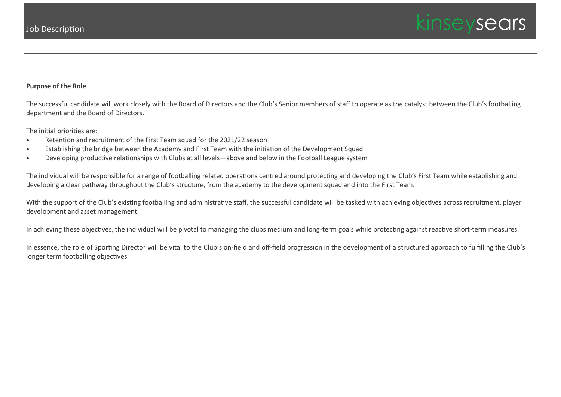

## **Purpose of the Role**

The successful candidate will work closely with the Board of Directors and the Club's Senior members of staff to operate as the catalyst between the Club's footballing department and the Board of Directors.

The initial priorities are:

- Retention and recruitment of the First Team squad for the 2021/22 season
- Establishing the bridge between the Academy and First Team with the initiation of the Development Squad
- Developing productive relationships with Clubs at all levels—above and below in the Football League system

The individual will be responsible for a range of footballing related operations centred around protecting and developing the Club's First Team while establishing and developing a clear pathway throughout the Club's structure, from the academy to the development squad and into the First Team.

With the support of the Club's existing footballing and administrative staff, the successful candidate will be tasked with achieving objectives across recruitment, player development and asset management.

In achieving these objectives, the individual will be pivotal to managing the clubs medium and long-term goals while protecting against reactive short-term measures.

In essence, the role of Sporting Director will be vital to the Club's on-field and off-field progression in the development of a structured approach to fulfilling the Club's longer term footballing objectives.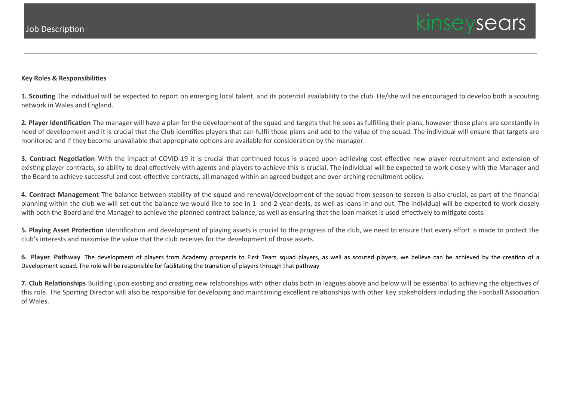## **Key Roles & Responsibilities**

**1. Scouting** The individual will be expected to report on emerging local talent, and its potential availability to the club. He/she will be encouraged to develop both a scouting network in Wales and England.

**2. Player Identification** The manager will have a plan for the development of the squad and targets that he sees as fulfilling their plans, however those plans are constantly in need of development and it is crucial that the Club identifies players that can fulfil those plans and add to the value of the squad. The individual will ensure that targets are monitored and if they become unavailable that appropriate options are available for consideration by the manager.

**3. Contract Negotiation** With the impact of COVID-19 it is crucial that continued focus is placed upon achieving cost-effective new player recruitment and extension of existing player contracts, so ability to deal effectively with agents and players to achieve this is crucial. The individual will be expected to work closely with the Manager and the Board to achieve successful and cost-effective contracts, all managed within an agreed budget and over-arching recruitment policy.

**4. Contract Management** The balance between stability of the squad and renewal/development of the squad from season to season is also crucial, as part of the financial planning within the club we will set out the balance we would like to see in 1- and 2-year deals, as well as loans in and out. The individual will be expected to work closely with both the Board and the Manager to achieve the planned contract balance, as well as ensuring that the loan market is used effectively to mitigate costs.

**5. Playing Asset Protection** Identification and development of playing assets is crucial to the progress of the club, we need to ensure that every effort is made to protect the club's interests and maximise the value that the club receives for the development of those assets.

**6. Player Pathway** The development of players from Academy prospects to First Team squad players, as well as scouted players, we believe can be achieved by the creation of a Development squad. The role will be responsible for facilitating the transition of players through that pathway

**7. Club Relationships** Building upon existing and creating new relationships with other clubs both in leagues above and below will be essential to achieving the objectives of this role. The Sporting Director will also be responsible for developing and maintaining excellent relationships with other key stakeholders including the Football Association of Wales.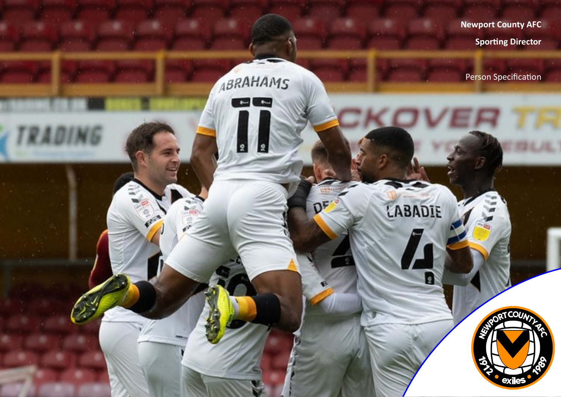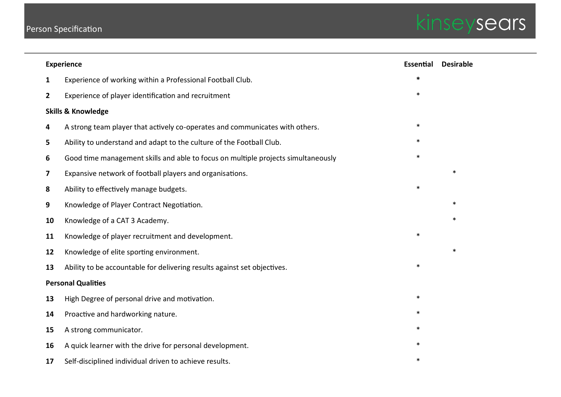# Person Specification



| <b>Experience</b>             |                                                                                   | Essential | <b>Desirable</b> |
|-------------------------------|-----------------------------------------------------------------------------------|-----------|------------------|
| 1                             | Experience of working within a Professional Football Club.                        | $\ast$    |                  |
| 2                             | Experience of player identification and recruitment                               | $\ast$    |                  |
| <b>Skills &amp; Knowledge</b> |                                                                                   |           |                  |
| 4                             | A strong team player that actively co-operates and communicates with others.      | $\ast$    |                  |
| 5                             | Ability to understand and adapt to the culture of the Football Club.              |           |                  |
| 6                             | Good time management skills and able to focus on multiple projects simultaneously | $\ast$    |                  |
| 7                             | Expansive network of football players and organisations.                          |           | $\ast$           |
| 8                             | Ability to effectively manage budgets.                                            | $\ast$    |                  |
| 9                             | Knowledge of Player Contract Negotiation.                                         |           | $\ast$           |
| 10                            | Knowledge of a CAT 3 Academy.                                                     |           | $\ast$           |
| 11                            | Knowledge of player recruitment and development.                                  | $\ast$    |                  |
| 12                            | Knowledge of elite sporting environment.                                          |           | $\ast$           |
| 13                            | Ability to be accountable for delivering results against set objectives.          | $\ast$    |                  |
| <b>Personal Qualities</b>     |                                                                                   |           |                  |
| 13                            | High Degree of personal drive and motivation.                                     | $\ast$    |                  |
| 14                            | Proactive and hardworking nature.                                                 | $\ast$    |                  |
| 15                            | A strong communicator.                                                            | $\ast$    |                  |
| 16                            | A quick learner with the drive for personal development.                          | $\ast$    |                  |
| 17                            | Self-disciplined individual driven to achieve results.                            | $\ast$    |                  |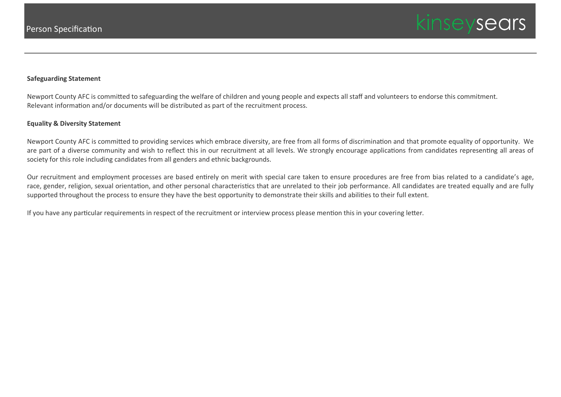

# **Safeguarding Statement**

Newport County AFC is committed to safeguarding the welfare of children and young people and expects all staff and volunteers to endorse this commitment. Relevant information and/or documents will be distributed as part of the recruitment process.

#### **Equality & Diversity Statement**

Newport County AFC is committed to providing services which embrace diversity, are free from all forms of discrimination and that promote equality of opportunity. We are part of a diverse community and wish to reflect this in our recruitment at all levels. We strongly encourage applications from candidates representing all areas of society for this role including candidates from all genders and ethnic backgrounds.

Our recruitment and employment processes are based entirely on merit with special care taken to ensure procedures are free from bias related to a candidate's age, race, gender, religion, sexual orientation, and other personal characteristics that are unrelated to their job performance. All candidates are treated equally and are fully supported throughout the process to ensure they have the best opportunity to demonstrate their skills and abilities to their full extent.

If you have any particular requirements in respect of the recruitment or interview process please mention this in your covering letter.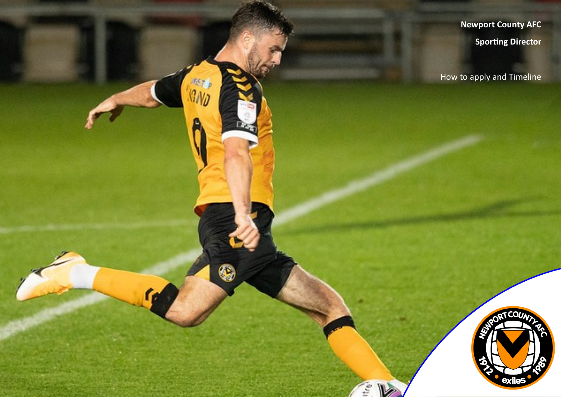**Edgbaston Stadium Newport County AFC**

**Sporting Director**

How to apply and Timeline

fic,



 $\epsilon_{\rm s}$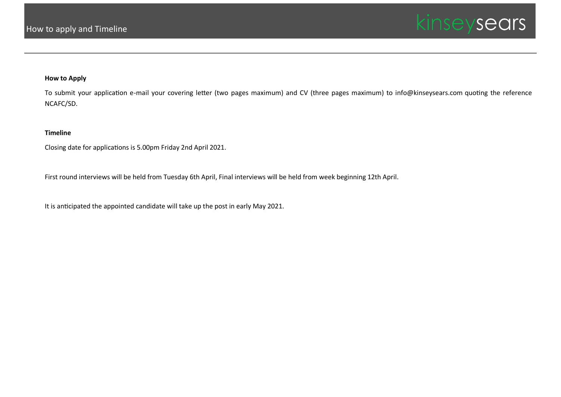

# **How to Apply**

To submit your application e-mail your covering letter (two pages maximum) and CV (three pages maximum) to info@kinseysears.com quoting the reference NCAFC/SD.

# **Timeline**

Closing date for applications is 5.00pm Friday 2nd April 2021.

First round interviews will be held from Tuesday 6th April, Final interviews will be held from week beginning 12th April.

It is anticipated the appointed candidate will take up the post in early May 2021.